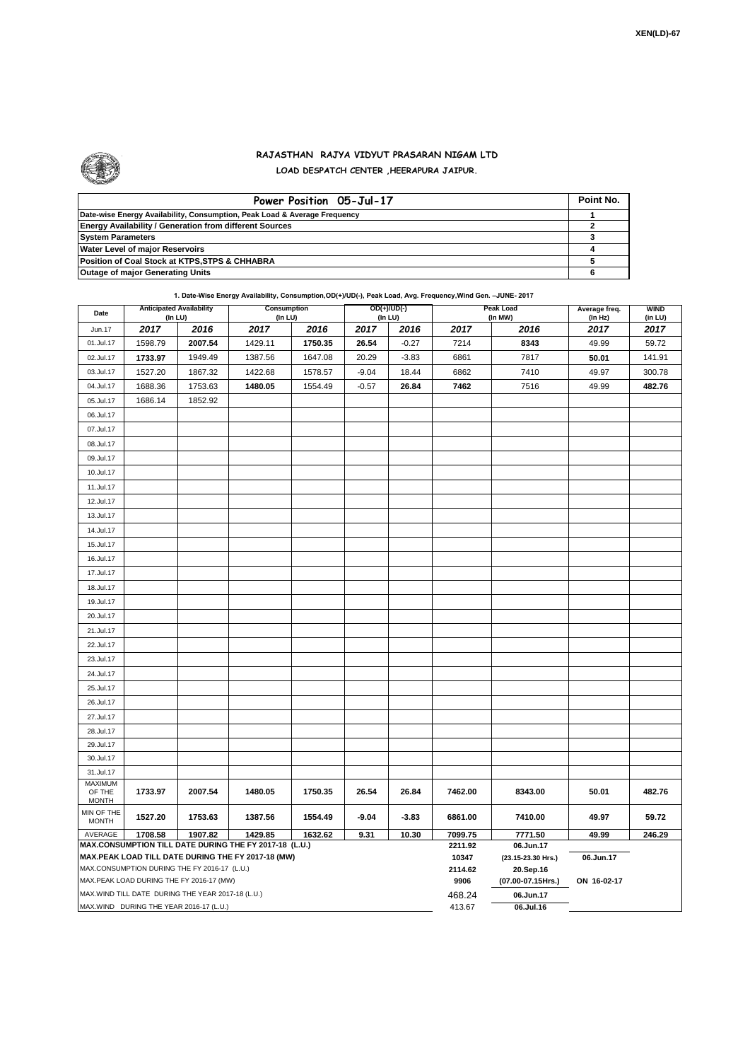

## **RAJASTHAN RAJYA VIDYUT PRASARAN NIGAM LTD LOAD DESPATCH CENTER ,HEERAPURA JAIPUR.**

| Power Position 05-Jul-17                                                  | Point No. |
|---------------------------------------------------------------------------|-----------|
| Date-wise Energy Availability, Consumption, Peak Load & Average Frequency |           |
| <b>Energy Availability / Generation from different Sources</b>            |           |
| <b>System Parameters</b>                                                  |           |
| <b>Water Level of major Reservoirs</b>                                    |           |
| Position of Coal Stock at KTPS, STPS & CHHABRA                            |           |
| <b>Outage of major Generating Units</b>                                   |           |

**1. Date-Wise Energy Availability, Consumption,OD(+)/UD(-), Peak Load, Avg. Frequency,Wind Gen. –JUNE- 2017**

| Date                                                                                                         | <b>Anticipated Availability</b><br>(In LU) |         | Consumption<br>(In LU) |         | OD(+)/UD(-)<br>(In LU) |         | Peak Load<br>(In MW) |                                 | Average freq.<br>(In Hz) | <b>WIND</b><br>(in LU) |  |  |
|--------------------------------------------------------------------------------------------------------------|--------------------------------------------|---------|------------------------|---------|------------------------|---------|----------------------|---------------------------------|--------------------------|------------------------|--|--|
| Jun.17                                                                                                       | 2017                                       | 2016    | 2017                   | 2016    | 2017                   | 2016    | 2017                 | 2016                            | 2017                     | 2017                   |  |  |
| 01.Jul.17                                                                                                    | 1598.79                                    | 2007.54 | 1429.11                | 1750.35 | 26.54                  | $-0.27$ | 7214                 | 8343                            | 49.99                    | 59.72                  |  |  |
| 02.Jul.17                                                                                                    | 1733.97                                    | 1949.49 | 1387.56                | 1647.08 | 20.29                  | $-3.83$ | 6861                 | 7817                            | 50.01                    | 141.91                 |  |  |
| 03.Jul.17                                                                                                    | 1527.20                                    | 1867.32 | 1422.68                | 1578.57 | $-9.04$                | 18.44   | 6862                 | 7410                            | 49.97                    | 300.78                 |  |  |
| 04.Jul.17                                                                                                    | 1688.36                                    | 1753.63 | 1480.05                | 1554.49 | $-0.57$                | 26.84   | 7462                 | 7516                            | 49.99                    | 482.76                 |  |  |
| 05.Jul.17                                                                                                    | 1686.14                                    | 1852.92 |                        |         |                        |         |                      |                                 |                          |                        |  |  |
| 06.Jul.17                                                                                                    |                                            |         |                        |         |                        |         |                      |                                 |                          |                        |  |  |
| 07.Jul.17                                                                                                    |                                            |         |                        |         |                        |         |                      |                                 |                          |                        |  |  |
| 08.Jul.17                                                                                                    |                                            |         |                        |         |                        |         |                      |                                 |                          |                        |  |  |
| 09.Jul.17                                                                                                    |                                            |         |                        |         |                        |         |                      |                                 |                          |                        |  |  |
| 10.Jul.17                                                                                                    |                                            |         |                        |         |                        |         |                      |                                 |                          |                        |  |  |
| 11.Jul.17                                                                                                    |                                            |         |                        |         |                        |         |                      |                                 |                          |                        |  |  |
| 12.Jul.17                                                                                                    |                                            |         |                        |         |                        |         |                      |                                 |                          |                        |  |  |
| 13.Jul.17                                                                                                    |                                            |         |                        |         |                        |         |                      |                                 |                          |                        |  |  |
| 14.Jul.17                                                                                                    |                                            |         |                        |         |                        |         |                      |                                 |                          |                        |  |  |
| 15.Jul.17                                                                                                    |                                            |         |                        |         |                        |         |                      |                                 |                          |                        |  |  |
| 16.Jul.17                                                                                                    |                                            |         |                        |         |                        |         |                      |                                 |                          |                        |  |  |
| 17.Jul.17                                                                                                    |                                            |         |                        |         |                        |         |                      |                                 |                          |                        |  |  |
| 18.Jul.17                                                                                                    |                                            |         |                        |         |                        |         |                      |                                 |                          |                        |  |  |
| 19.Jul.17                                                                                                    |                                            |         |                        |         |                        |         |                      |                                 |                          |                        |  |  |
| 20.Jul.17                                                                                                    |                                            |         |                        |         |                        |         |                      |                                 |                          |                        |  |  |
| 21.Jul.17                                                                                                    |                                            |         |                        |         |                        |         |                      |                                 |                          |                        |  |  |
| 22.Jul.17                                                                                                    |                                            |         |                        |         |                        |         |                      |                                 |                          |                        |  |  |
| 23.Jul.17                                                                                                    |                                            |         |                        |         |                        |         |                      |                                 |                          |                        |  |  |
| 24.Jul.17                                                                                                    |                                            |         |                        |         |                        |         |                      |                                 |                          |                        |  |  |
| 25.Jul.17                                                                                                    |                                            |         |                        |         |                        |         |                      |                                 |                          |                        |  |  |
| 26.Jul.17                                                                                                    |                                            |         |                        |         |                        |         |                      |                                 |                          |                        |  |  |
| 27.Jul.17                                                                                                    |                                            |         |                        |         |                        |         |                      |                                 |                          |                        |  |  |
| 28.Jul.17                                                                                                    |                                            |         |                        |         |                        |         |                      |                                 |                          |                        |  |  |
| 29.Jul.17                                                                                                    |                                            |         |                        |         |                        |         |                      |                                 |                          |                        |  |  |
| 30.Jul.17                                                                                                    |                                            |         |                        |         |                        |         |                      |                                 |                          |                        |  |  |
| 31.Jul.17                                                                                                    |                                            |         |                        |         |                        |         |                      |                                 |                          |                        |  |  |
| MAXIMUM<br>OF THE                                                                                            | 1733.97                                    | 2007.54 | 1480.05                | 1750.35 | 26.54                  | 26.84   | 7462.00              | 8343.00                         | 50.01                    | 482.76                 |  |  |
| <b>MONTH</b>                                                                                                 |                                            |         |                        |         |                        |         |                      |                                 |                          |                        |  |  |
| MIN OF THE<br><b>MONTH</b>                                                                                   | 1527.20                                    | 1753.63 | 1387.56                | 1554.49 | $-9.04$                | $-3.83$ | 6861.00              | 7410.00                         | 49.97                    | 59.72                  |  |  |
| 1708.58<br>1907.82<br>1429.85<br>1632.62<br>9.31<br>10.30<br>AVERAGE                                         |                                            |         |                        |         |                        |         | 7099.75              | 7771.50                         | 49.99                    | 246.29                 |  |  |
| MAX.CONSUMPTION TILL DATE DURING THE FY 2017-18 (L.U.)<br>MAX.PEAK LOAD TILL DATE DURING THE FY 2017-18 (MW) |                                            |         |                        |         |                        |         | 2211.92<br>10347     | 06.Jun.17<br>(23.15-23.30 Hrs.) | 06.Jun.17                |                        |  |  |
| MAX.CONSUMPTION DURING THE FY 2016-17 (L.U.)                                                                 |                                            |         |                        |         |                        |         | 2114.62              | 20.Sep.16                       |                          |                        |  |  |
| MAX.PEAK LOAD DURING THE FY 2016-17 (MW)                                                                     |                                            |         |                        |         |                        |         | 9906                 | (07.00-07.15Hrs.)               | ON 16-02-17              |                        |  |  |
| MAX.WIND TILL DATE DURING THE YEAR 2017-18 (L.U.)                                                            |                                            |         |                        |         |                        |         | 468.24               | 06.Jun.17                       |                          |                        |  |  |
| MAX.WIND DURING THE YEAR 2016-17 (L.U.)                                                                      |                                            |         |                        |         |                        |         |                      | 06.Jul.16                       |                          |                        |  |  |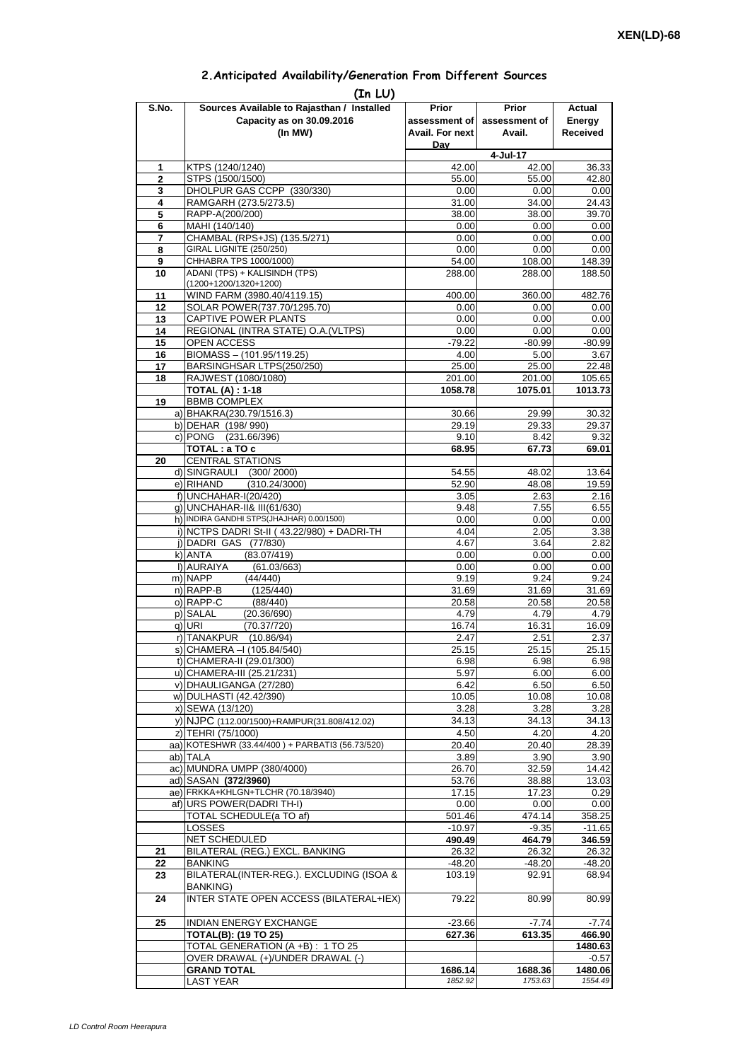| 2. Anticipated Availability/Generation From Different Sources |  |  |  |  |  |  |
|---------------------------------------------------------------|--|--|--|--|--|--|
|---------------------------------------------------------------|--|--|--|--|--|--|

| S.No.               | (In LU)<br>Sources Available to Rajasthan / Installed                                    | Prior              | <b>Prior</b>       | Actual             |
|---------------------|------------------------------------------------------------------------------------------|--------------------|--------------------|--------------------|
|                     | Capacity as on 30.09.2016                                                                | assessment of      | assessment of      | Energy             |
|                     | (In MW)                                                                                  | Avail. For next    | Avail.             | <b>Received</b>    |
|                     |                                                                                          | Dav                |                    |                    |
|                     |                                                                                          |                    | 4-Jul-17           |                    |
| 1<br>$\overline{2}$ | KTPS (1240/1240)<br>STPS (1500/1500)                                                     | 42.00<br>55.00     | 42.00<br>55.00     | 36.33<br>42.80     |
| 3                   | DHOLPUR GAS CCPP (330/330)                                                               | 0.00               | 0.00               | 0.00               |
| 4                   | RAMGARH (273.5/273.5)                                                                    | 31.00              | 34.00              | 24.43              |
| 5                   | RAPP-A(200/200)                                                                          | 38.00              | 38.00              | 39.70              |
| 6                   | MAHI (140/140)                                                                           | 0.00               | 0.00               | 0.00               |
| 7<br>8              | CHAMBAL (RPS+JS) (135.5/271)<br><b>GIRAL LIGNITE (250/250)</b>                           | 0.00<br>0.00       | 0.00<br>0.00       | 0.00               |
| 9                   | CHHABRA TPS 1000/1000)                                                                   | 54.00              | 108.00             | 0.00<br>148.39     |
| 10                  | ADANI (TPS) + KALISINDH (TPS)                                                            | 288.00             | 288.00             | 188.50             |
|                     | (1200+1200/1320+1200)                                                                    |                    |                    |                    |
| 11                  | WIND FARM (3980.40/4119.15)                                                              | 400.00             | 360.00             | 482.76             |
| 12<br>13            | SOLAR POWER(737.70/1295.70)<br>CAPTIVE POWER PLANTS                                      | 0.00<br>0.00       | 0.00<br>0.00       | 0.00<br>0.00       |
| 14                  | REGIONAL (INTRA STATE) O.A. (VLTPS)                                                      | 0.00               | 0.00               | 0.00               |
| 15                  | OPEN ACCESS                                                                              | $-79.22$           | $-80.99$           | $-80.99$           |
| 16                  | BIOMASS - (101.95/119.25)                                                                | 4.00               | 5.00               | 3.67               |
| 17                  | BARSINGHSAR LTPS(250/250)                                                                | 25.00              | 25.00              | 22.48              |
| 18                  | RAJWEST (1080/1080)<br><b>TOTAL (A): 1-18</b>                                            | 201.00<br>1058.78  | 201.00<br>1075.01  | 105.65<br>1013.73  |
| 19                  | <b>BBMB COMPLEX</b>                                                                      |                    |                    |                    |
|                     | a) BHAKRA(230.79/1516.3)                                                                 | 30.66              | 29.99              | 30.32              |
|                     | b) DEHAR (198/990)                                                                       | 29.19              | 29.33              | 29.37              |
|                     | c) PONG (231.66/396)                                                                     | 9.10               | 8.42               | 9.32               |
| 20                  | TOTAL : a TO c<br><b>CENTRAL STATIONS</b>                                                | 68.95              | 67.73              | 69.01              |
|                     | d) SINGRAULI<br>(300/2000)                                                               | 54.55              | 48.02              | 13.64              |
|                     | e) RIHAND<br>(310.24/3000)                                                               | 52.90              | 48.08              | 19.59              |
|                     | f) UNCHAHAR-I(20/420)                                                                    | 3.05               | 2.63               | 2.16               |
|                     | q) UNCHAHAR-II& III(61/630)                                                              | 9.48               | 7.55               | 6.55               |
|                     | h) INDIRA GANDHI STPS(JHAJHAR) 0.00/1500)<br>i) NCTPS DADRI St-II (43.22/980) + DADRI-TH | 0.00<br>4.04       | 0.00<br>2.05       | 0.00<br>3.38       |
|                     | j) DADRI GAS (77/830)                                                                    | 4.67               | 3.64               | 2.82               |
|                     | k) ANTA<br>(83.07/419)                                                                   | 0.00               | 0.00               | 0.00               |
|                     | I) AURAIYA<br>(61.03/663)                                                                | 0.00               | 0.00               | 0.00               |
|                     | m) NAPP<br>(44/440)                                                                      | 9.19               | 9.24               | 9.24               |
|                     | n) RAPP-B<br>(125/440)<br>o) RAPP-C<br>(88/440)                                          | 31.69<br>20.58     | 31.69<br>20.58     | 31.69<br>20.58     |
|                     | p) SALAL<br>(20.36/690)                                                                  | 4.79               | 4.79               | 4.79               |
|                     | (70.37/720)<br>q) URI                                                                    | 16.74              | 16.31              | 16.09              |
|                     | r) TANAKPUR<br>(10.86/94)                                                                | 2.47               | 2.51               | 2.37               |
|                     | S) CHAMERA –I (105.84/540)                                                               | 25.15              | 25.15              | 25.15              |
|                     | t) CHAMERA-II (29.01/300)<br>u) CHAMERA-III (25.21/231)                                  | 6.98<br>5.97       | 6.98<br>6.00       | 6.98<br>6.00       |
|                     | v) DHAULIGANGA (27/280)                                                                  | 6.42               | 6.50               | 6.50               |
|                     | w) DULHASTI (42.42/390)                                                                  | 10.05              | 10.08              | 10.08              |
|                     | x) SEWA (13/120)                                                                         | 3.28               | 3.28               | 3.28               |
|                     | y) NJPC (112.00/1500)+RAMPUR(31.808/412.02)                                              | 34.13              | 34.13              | 34.13              |
|                     | z) TEHRI (75/1000)<br>aa) KOTESHWR (33.44/400) + PARBATI3 (56.73/520)                    | 4.50               | 4.20               | 4.20               |
|                     | ab) TALA                                                                                 | 20.40<br>3.89      | 20.40<br>3.90      | 28.39<br>3.90      |
|                     | ac) MUNDRA UMPP (380/4000)                                                               | 26.70              | 32.59              | 14.42              |
|                     | ad) SASAN (372/3960)                                                                     | 53.76              | 38.88              | 13.03              |
|                     | ae) FRKKA+KHLGN+TLCHR (70.18/3940)                                                       | 17.15              | 17.23              | 0.29               |
|                     | af) URS POWER(DADRI TH-I)                                                                | 0.00               | 0.00               | 0.00               |
|                     | TOTAL SCHEDULE(a TO af)<br><b>LOSSES</b>                                                 | 501.46<br>$-10.97$ | 474.14<br>$-9.35$  | 358.25<br>$-11.65$ |
|                     | NET SCHEDULED                                                                            | 490.49             | 464.79             | 346.59             |
| 21                  | BILATERAL (REG.) EXCL. BANKING                                                           | 26.32              | 26.32              | 26.32              |
| 22                  | <b>BANKING</b>                                                                           | $-48.20$           | $-48.20$           | $-48.20$           |
| 23                  | BILATERAL(INTER-REG.). EXCLUDING (ISOA &                                                 | 103.19             | 92.91              | 68.94              |
| 24                  | <b>BANKING)</b><br>INTER STATE OPEN ACCESS (BILATERAL+IEX)                               | 79.22              | 80.99              | 80.99              |
| 25                  | INDIAN ENERGY EXCHANGE                                                                   | $-23.66$           | $-7.74$            | $-7.74$            |
|                     | <b>TOTAL(B): (19 TO 25)</b>                                                              | 627.36             | 613.35             | 466.90             |
|                     | TOTAL GENERATION (A +B) : 1 TO 25                                                        |                    |                    | 1480.63            |
|                     | OVER DRAWAL (+)/UNDER DRAWAL (-)                                                         |                    |                    | $-0.57$            |
|                     | <b>GRAND TOTAL</b><br><b>LAST YEAR</b>                                                   | 1686.14<br>1852.92 | 1688.36<br>1753.63 | 1480.06<br>1554.49 |
|                     |                                                                                          |                    |                    |                    |